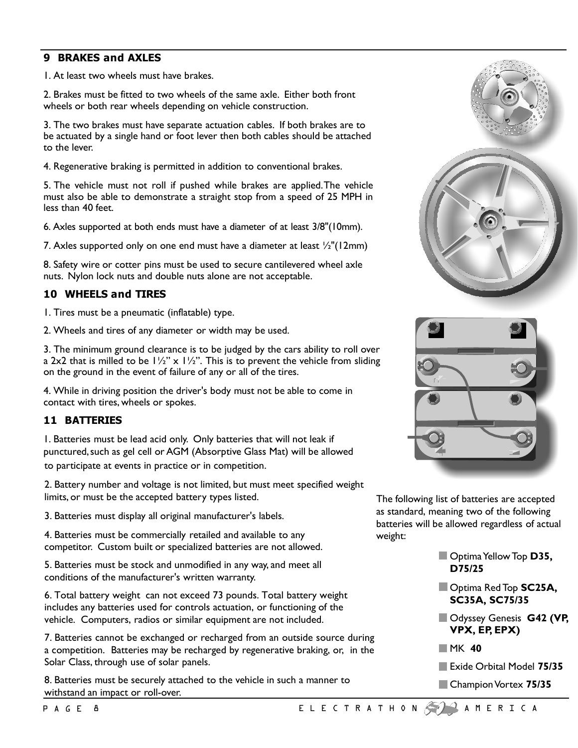### **9 BRAKES and AXLES**

1. At least two wheels must have brakes.

2. Brakes must be fitted to two wheels of the same axle. Either both front wheels or both rear wheels depending on vehicle construction.

3. The two brakes must have separate actuation cables. If both brakes are to be actuated by a single hand or foot lever then both cables should be attached to the lever.

4. Regenerative braking is permitted in addition to conventional brakes.

5. The vehicle must not roll if pushed while brakes are applied.The vehicle must also be able to demonstrate a straight stop from a speed of 25 MPH in less than 40 feet.

6. Axles supported at both ends must have a diameter of at least 3/8"(10mm).

7. Axles supported only on one end must have a diameter at least ½"(12mm)

8. Safety wire or cotter pins must be used to secure cantilevered wheel axle nuts. Nylon lock nuts and double nuts alone are not acceptable.

## **10 WHEELS and TIRES**

1. Tires must be a pneumatic (inflatable) type.

2. Wheels and tires of any diameter or width may be used.

3. The minimum ground clearance is to be judged by the cars ability to roll over a 2x2 that is milled to be  $1\frac{1}{2}$ " x  $1\frac{1}{2}$ ". This is to prevent the vehicle from sliding on the ground in the event of failure of any or all of the tires.

4. While in driving position the driver's body must not be able to come in contact with tires, wheels or spokes.

### **11 BATTERIES**

1. Batteries must be lead acid only. Only batteries that will not leak if punctured, such as gel cell or AGM (Absorptive Glass Mat) will be allowed to participate at events in practice or in competition.

2. Battery number and voltage is not limited, but must meet specified weight limits, or must be the accepted battery types listed.

3. Batteries must display all original manufacturer's labels.

4. Batteries must be commercially retailed and available to any competitor. Custom built or specialized batteries are not allowed.

5. Batteries must be stock and unmodified in any way, and meet all conditions of the manufacturer's written warranty.

6. Total battery weight can not exceed 73 pounds. Total battery weight includes any batteries used for controls actuation, or functioning of the vehicle. Computers, radios or similar equipment are not included.

7. Batteries cannot be exchanged or recharged from an outside source during a competition. Batteries may be recharged by regenerative braking, or, in the Solar Class, through use of solar panels.

8. Batteries must be securely attached to the vehicle in such a manner to withstand an impact or roll-over.







The following list of batteries are accepted as standard, meaning two of the following batteries will be allowed regardless of actual weight:

- **D** Optima Yellow Top **D35, D75/25**
- Optima RedTop **SC25A, SC35A, SC75/35**
- Odyssey Genesis **G42 (VP, VPX, EP, EPX)**
- MK **40**
- Exide Orbital Model 75/35
- **Champion Vortex 75/35**

PAGE 8 ELECTRATHON AMERICA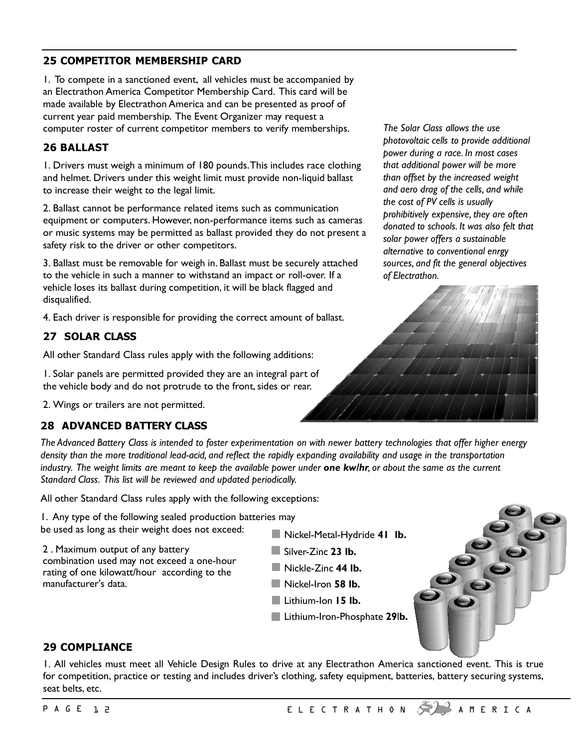# **25 COMPETITOR MEMBERSHIP CARD**

1. To compete in a sanctioned event, all vehicles must be accompanied by an Electrathon America Competitor Membership Card. This card will be made available by Electrathon America and can be presented as proof of current year paid membership. The Event Organizer may request a computer roster of current competitor members to verify memberships.

# **26 BALLAST**

1. Drivers must weigh a minimum of 180 pounds.This includes race clothing and helmet. Drivers under this weight limit must provide non-liquid ballast to increase their weight to the legal limit.

2. Ballast cannot be performance related items such as communication equipment or computers. However, non-performance items such as cameras or music systems may be permitted as ballast provided they do not present a safety risk to the driver or other competitors.

3. Ballast must be removable for weigh in. Ballast must be securely attached to the vehicle in such a manner to withstand an impact or roll-over. If a vehicle loses its ballast during competition, it will be black flagged and disqualified.

4. Each driver is responsible for providing the correct amount of ballast.

# **27 SOLAR CLASS**

All other Standard Class rules apply with the following additions:

1. Solar panels are permitted provided they are an integral part of the vehicle body and do not protrude to the front, sides or rear.

2. Wings or trailers are not permitted.

# **28 ADVANCED BATTERY CLASS**

*The Solar Class allows the use photovoltaic cells to provide additional power during a race. In most cases that additional power will be more than offset by the increased weight and aero drag of the cells, and while the cost of PV cells is usually prohibitively expensive, they are often donated to schools. It was also felt that solar power offers a sustainable alternative to conventional enrgy sources, and fit the general objectives of Electrathon.*



*The Advanced Battery Class is intended to foster experimentation on with newer battery technologies that offer higher energy density than the more traditional lead-acid, and reflect the rapidly expanding availability and usage in the transportation industry. The weight limits are meant to keep the available power under one kw/hr, or about the same as the current Standard Class. This list will be reviewed and updated periodically.*

All other Standard Class rules apply with the following exceptions:

1. Any type of the following sealed production batteries may be used as long as their weight does not exceed:

2 . Maximum output of any battery combination used may not exceed a one-hour rating of one kilowatt/hour according to the manufacturer's data.

- Nickel-Metal-Hydride **41 lb.**
- Silver-Zinc **23 lb.**
- Nickle-Zinc **44 lb.**
- Nickel-Iron **58 lb.**
- Lithium-Ion **15 lb.**
- Lithium-Iron-Phosphate **29**l**b.**



# **29 COMPLIANCE**

1. All vehicles must meet all Vehicle Design Rules to drive at any Electrathon America sanctioned event. This is true for competition, practice or testing and includes driver's clothing, safety equipment, batteries, battery securing systems, seat belts, etc.